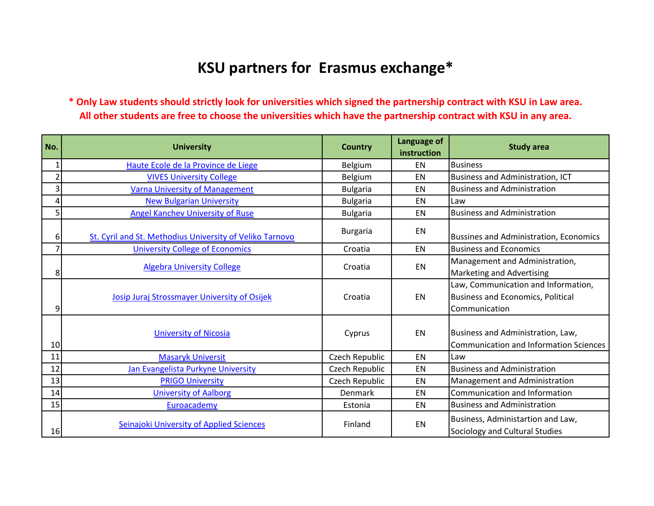## **KSU partners for Erasmus exchange\***

**\* Only Law students should strictly look for universities which signed the partnership contract with KSU in Law area. All other students are free to choose the universities which have the partnership contract with KSU in any area.**

| No.                     | <b>University</b>                                        | <b>Country</b>  | Language of<br>instruction | <b>Study area</b>                                                                                |
|-------------------------|----------------------------------------------------------|-----------------|----------------------------|--------------------------------------------------------------------------------------------------|
| $1\vert$                | Haute Ecole de la Province de Liege                      | Belgium         | <b>EN</b>                  | <b>Business</b>                                                                                  |
| $\overline{2}$          | <b>VIVES University College</b>                          | Belgium         | EN                         | <b>Business and Administration, ICT</b>                                                          |
| $\overline{\mathbf{3}}$ | <b>Varna University of Management</b>                    | <b>Bulgaria</b> | EN                         | <b>Business and Administration</b>                                                               |
| 4                       | <b>New Bulgarian University</b>                          | <b>Bulgaria</b> | EN                         | Law                                                                                              |
| 5 <sup>1</sup>          | <b>Angel Kanchev University of Ruse</b>                  | <b>Bulgaria</b> | EN                         | <b>Business and Administration</b>                                                               |
| 61                      | St. Cyril and St. Methodius University of Veliko Tarnovo | <b>Burgaria</b> | EN                         | <b>Bussines and Administration, Economics</b>                                                    |
| $\overline{7}$          | <b>University College of Economics</b>                   | Croatia         | EN                         | <b>Business and Economics</b>                                                                    |
| 8                       | <b>Algebra University College</b>                        | Croatia         | <b>EN</b>                  | Management and Administration,<br>Marketing and Advertising                                      |
| 9                       | Josip Juraj Strossmayer University of Osijek             | Croatia         | EN                         | Law, Communication and Information,<br><b>Business and Economics, Political</b><br>Communication |
| 10                      | <b>University of Nicosia</b>                             | Cyprus          | EN                         | Business and Administration, Law,<br><b>Communication and Information Sciences</b>               |
| 11                      | <b>Masaryk Universit</b>                                 | Czech Republic  | EN                         | Law                                                                                              |
| 12                      | Jan Evangelista Purkyne University                       | Czech Republic  | EN                         | <b>Business and Administration</b>                                                               |
| 13                      | <b>PRIGO University</b>                                  | Czech Republic  | EN                         | Management and Administration                                                                    |
| 14                      | <b>University of Aalborg</b>                             | Denmark         | EN                         | Communication and Information                                                                    |
| 15                      | Euroacademy                                              | Estonia         | <b>EN</b>                  | <b>Business and Administration</b>                                                               |
| 16                      | <b>Seinajoki University of Applied Sciences</b>          | Finland         | EN                         | Business, Administartion and Law,<br>Sociology and Cultural Studies                              |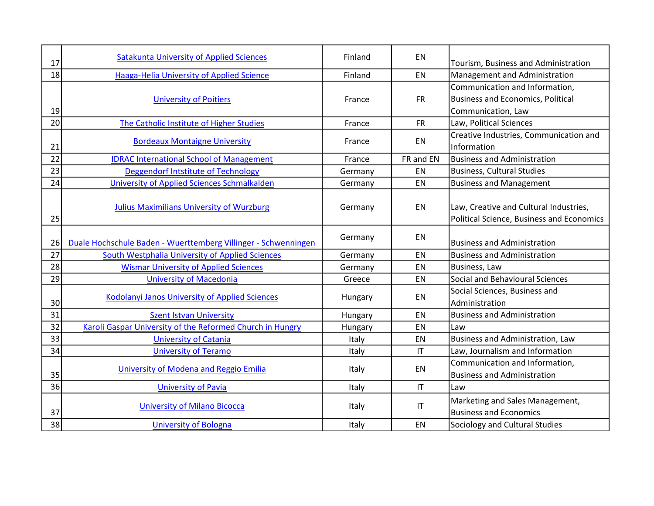| 17 | <b>Satakunta University of Applied Sciences</b>                | Finland | EN                     | Tourism, Business and Administration                                                |
|----|----------------------------------------------------------------|---------|------------------------|-------------------------------------------------------------------------------------|
| 18 | <b>Haaga-Helia University of Applied Science</b>               | Finland | EN                     | Management and Administration                                                       |
|    | <b>University of Poitiers</b>                                  | France  | <b>FR</b>              | Communication and Information,<br><b>Business and Economics, Political</b>          |
| 19 |                                                                |         |                        | Communication, Law                                                                  |
| 20 | The Catholic Institute of Higher Studies                       | France  | <b>FR</b>              | Law, Political Sciences                                                             |
| 21 | <b>Bordeaux Montaigne University</b>                           | France  | EN                     | Creative Industries, Communication and<br>Information                               |
| 22 | <b>IDRAC International School of Management</b>                | France  | FR and EN              | <b>Business and Administration</b>                                                  |
| 23 | Deggendorf Intstitute of Technology                            | Germany | EN                     | <b>Business, Cultural Studies</b>                                                   |
| 24 | University of Applied Sciences Schmalkalden                    | Germany | EN                     | <b>Business and Management</b>                                                      |
| 25 | <b>Julius Maximilians University of Wurzburg</b>               | Germany | EN                     | Law, Creative and Cultural Industries,<br>Political Science, Business and Economics |
| 26 | Duale Hochschule Baden - Wuerttemberg Villinger - Schwenningen | Germany | EN                     | <b>Business and Administration</b>                                                  |
| 27 | <b>South Westphalia University of Applied Sciences</b>         | Germany | EN                     | <b>Business and Administration</b>                                                  |
| 28 | <b>Wismar University of Applied Sciences</b>                   | Germany | EN                     | Business, Law                                                                       |
| 29 | <b>University of Macedonia</b>                                 | Greece  | EN                     | Social and Behavioural Sciences                                                     |
| 30 | Kodolanyi Janos University of Applied Sciences                 | Hungary | EN                     | Social Sciences, Business and<br>Administration                                     |
| 31 | <b>Szent Istvan University</b>                                 | Hungary | EN                     | <b>Business and Administration</b>                                                  |
| 32 | Karoli Gaspar University of the Reformed Church in Hungry      | Hungary | EN                     | Law                                                                                 |
| 33 | <b>University of Catania</b>                                   | Italy   | EN                     | Business and Administration, Law                                                    |
| 34 | <b>University of Teramo</b>                                    | Italy   | $\mathsf{I}\mathsf{T}$ | Law, Journalism and Information                                                     |
|    | University of Modena and Reggio Emilia                         | Italy   | EN                     | Communication and Information,                                                      |
| 35 |                                                                |         |                        | <b>Business and Administration</b>                                                  |
| 36 | <b>University of Pavia</b>                                     | Italy   | $\mathsf{I}\mathsf{T}$ | Law                                                                                 |
| 37 | <b>University of Milano Bicocca</b>                            | Italy   | $\mathsf{I}\mathsf{T}$ | Marketing and Sales Management,<br><b>Business and Economics</b>                    |
| 38 | <b>University of Bologna</b>                                   | Italy   | EN                     | Sociology and Cultural Studies                                                      |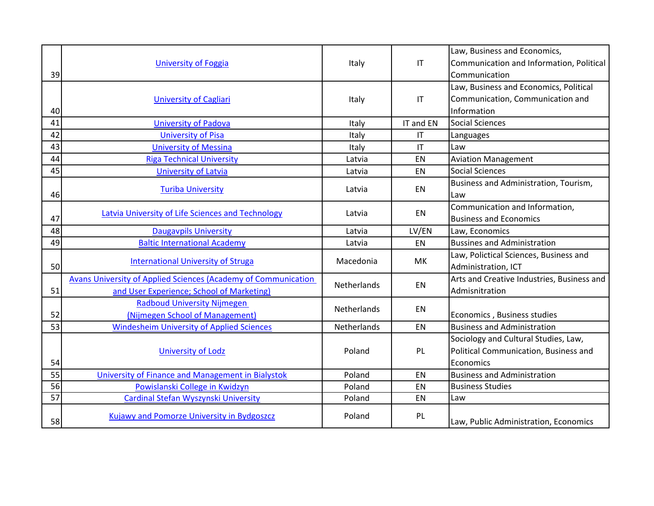|                 |                                                                |                    |                        | Law, Business and Economics,                 |
|-----------------|----------------------------------------------------------------|--------------------|------------------------|----------------------------------------------|
|                 | <b>University of Foggia</b>                                    | Italy              | $\mathsf{I}\mathsf{T}$ | Communication and Information, Political     |
| 39              |                                                                |                    |                        | Communication                                |
|                 |                                                                |                    |                        | Law, Business and Economics, Political       |
|                 | <b>University of Cagliari</b>                                  | Italy              | $\mathsf{I}\mathsf{T}$ | Communication, Communication and             |
| 40              |                                                                |                    |                        | Information                                  |
| 41              | <b>University of Padova</b>                                    | Italy              | IT and EN              | <b>Social Sciences</b>                       |
| 42              | <b>University of Pisa</b>                                      | Italy              | IT                     | Languages                                    |
| 43              | <b>University of Messina</b>                                   | Italy              | $\mathsf{I}\mathsf{T}$ | Law                                          |
| 44              | <b>Riga Technical University</b>                               | Latvia             | EN                     | <b>Aviation Management</b>                   |
| 45              | <b>University of Latvia</b>                                    | Latvia             | <b>EN</b>              | <b>Social Sciences</b>                       |
| 46              | <b>Turiba University</b>                                       | Latvia             | EN                     | Business and Administration, Tourism,<br>Law |
|                 | <b>Latvia University of Life Sciences and Technology</b>       | Latvia             | EN                     | Communication and Information,               |
| 47              |                                                                |                    |                        | <b>Business and Economics</b>                |
| 48              | <b>Daugavpils University</b>                                   | Latvia             | LV/EN                  | Law, Economics                               |
| 49              | <b>Baltic International Academy</b>                            | Latvia             | EN                     | <b>Bussines and Administration</b>           |
|                 |                                                                | Macedonia          | MK                     | Law, Polictical Sciences, Business and       |
| 50              | <b>International University of Struga</b>                      |                    |                        | Administration, ICT                          |
|                 | Avans University of Applied Sciences (Academy of Communication |                    |                        | Arts and Creative Industries, Business and   |
| 51              | and User Experience; School of Marketing)                      | Netherlands        | EN                     | Admisnitration                               |
|                 | <b>Radboud University Nijmegen</b>                             | <b>Netherlands</b> | EN                     |                                              |
| 52              | (Nijmegen School of Management)                                |                    |                        | Economics, Business studies                  |
| 53              | <b>Windesheim University of Applied Sciences</b>               | Netherlands        | <b>EN</b>              | <b>Business and Administration</b>           |
|                 |                                                                |                    |                        | Sociology and Cultural Studies, Law,         |
| 54              | <b>University of Lodz</b>                                      | Poland             | PL                     | Political Communication, Business and        |
|                 |                                                                |                    |                        | Economics                                    |
| 55              | University of Finance and Management in Bialystok              | Poland             | EN                     | <b>Business and Administration</b>           |
| 56              | Powislanski College in Kwidzyn                                 | Poland             | EN                     | <b>Business Studies</b>                      |
| $\overline{57}$ | Cardinal Stefan Wyszynski University                           | Poland             | EN                     | Law                                          |
| 58              | Kujawy and Pomorze University in Bydgoszcz                     | Poland             | PL                     | Law, Public Administration, Economics        |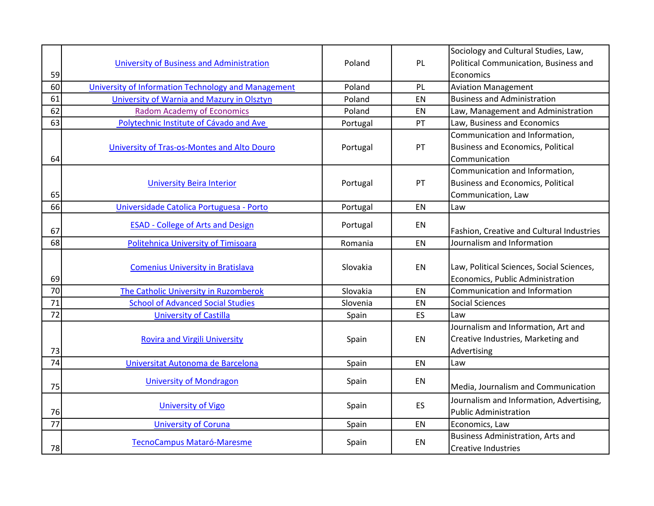|                 |                                                     |          |    | Sociology and Cultural Studies, Law,      |
|-----------------|-----------------------------------------------------|----------|----|-------------------------------------------|
|                 | University of Business and Administration           | Poland   | PL | Political Communication, Business and     |
| 59              |                                                     |          |    | Economics                                 |
| 60              | University of Information Technology and Management | Poland   | PL | <b>Aviation Management</b>                |
| 61              | University of Warnia and Mazury in Olsztyn          | Poland   | EN | <b>Business and Administration</b>        |
| 62              | <b>Radom Academy of Economics</b>                   | Poland   | EN | Law, Management and Administration        |
| 63              | Polytechnic Institute of Cávado and Ave             | Portugal | PT | Law, Business and Economics               |
|                 |                                                     |          |    | Communication and Information,            |
|                 | University of Tras-os-Montes and Alto Douro         | Portugal | PT | <b>Business and Economics, Political</b>  |
| 64              |                                                     |          |    | Communication                             |
|                 |                                                     |          |    | Communication and Information,            |
|                 | <b>University Beira Interior</b>                    | Portugal | PT | <b>Business and Economics, Political</b>  |
| 65              |                                                     |          |    | Communication, Law                        |
| 66              | Universidade Catolica Portuguesa - Porto            | Portugal | EN | Law                                       |
|                 | <b>ESAD - College of Arts and Design</b>            |          | EN |                                           |
| 67              |                                                     | Portugal |    | Fashion, Creative and Cultural Industries |
| 68              | Politehnica University of Timisoara                 | Romania  | EN | Journalism and Information                |
|                 |                                                     |          |    |                                           |
|                 | <b>Comenius University in Bratislava</b>            | Slovakia | EN | Law, Political Sciences, Social Sciences, |
| 69              |                                                     |          |    | Economics, Public Administration          |
| 70              | The Catholic University in Ruzomberok               | Slovakia | EN | Communication and Information             |
| 71              | <b>School of Advanced Social Studies</b>            | Slovenia | EN | <b>Social Sciences</b>                    |
| 72              | <b>University of Castilla</b>                       | Spain    | ES | Law                                       |
|                 |                                                     |          |    | Journalism and Information, Art and       |
|                 | <b>Rovira and Virgili University</b>                | Spain    | EN | Creative Industries, Marketing and        |
| 73              |                                                     |          |    | Advertising                               |
| $\overline{74}$ | Universitat Autonoma de Barcelona                   | Spain    | EN | Law                                       |
|                 | <b>University of Mondragon</b>                      | Spain    | EN |                                           |
| 75              |                                                     |          |    | Media, Journalism and Communication       |
|                 | <b>University of Vigo</b>                           | Spain    | ES | Journalism and Information, Advertising,  |
| 76              |                                                     |          |    | <b>Public Administration</b>              |
| 77              | <b>University of Coruna</b>                         | Spain    | EN | Economics, Law                            |
|                 | TecnoCampus Mataró-Maresme                          | Spain    | EN | <b>Business Administration, Arts and</b>  |
| 78              |                                                     |          |    | <b>Creative Industries</b>                |